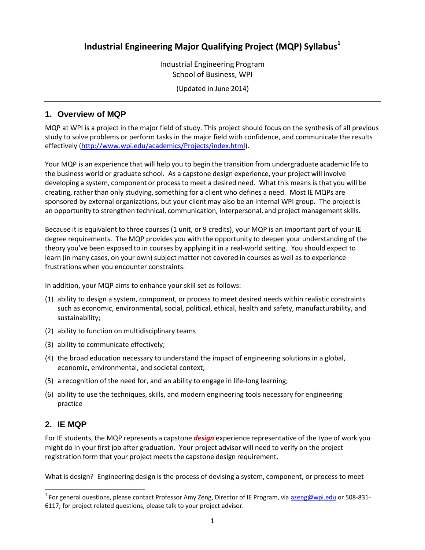# **Industrial Engineering Major Qualifying Project (MQP) Syllabus<sup>1</sup>**

Industrial Engineering Program School of Business, WPI

(Updated in June 2014)

## **1. Overview of MQP**

MQP at WPI is a project in the major field of study. This project should focus on the synthesis of all previous study to solve problems or perform tasks in the major field with confidence, and communicate the results effectively [\(http://www.wpi.edu/academics/Projects/index.html\)](http://www.wpi.edu/academics/Projects/index.html).

Your MQP is an experience that will help you to begin the transition from undergraduate academic life to the business world or graduate school. As a capstone design experience, your project will involve developing a system, component or process to meet a desired need. What this meansis that you will be creating, rather than only studying, something for a client who defines a need. Most IE MQPs are sponsored by external organizations, but your client may also be an internal WPI group. The project is an opportunity to strengthen technical, communication, interpersonal, and project management skills.

Because it is equivalent to three courses (1 unit, or 9 credits), your MQP is an important part of your IE degree requirements. The MQP provides you with the opportunity to deepen your understanding of the theory you've been exposed to in courses by applying it in a real-world setting. You should expect to learn (in many cases, on your own) subject matter not covered in courses as well as to experience frustrations when you encounter constraints.

In addition, your MQP aims to enhance your skill set as follows:

- (1) ability to design a system, component, or process to meet desired needs within realistic constraints such as economic, environmental, social, political, ethical, health and safety, manufacturability, and sustainability;
- (2) ability to function on multidisciplinary teams
- (3) ability to communicate effectively;
- (4) the broad education necessary to understand the impact of engineering solutions in a global, economic, environmental, and societal context;
- (5) a recognition of the need for, and an ability to engage in life-long learning;
- (6) ability to use the techniques, skills, and modern engineering tools necessary for engineering practice

## **2. IE MQP**

 $\overline{a}$ 

For IE students, the MQP represents a capstone *design* experience representative of the type of work you might do in your first job after graduation. Your project advisor will need to verify on the project registration form that your project meets the capstone design requirement.

What is design? Engineering design is the process of devising a system, component, or process to meet

<sup>&</sup>lt;sup>1</sup> For general questions, please contact Professor Amy Zeng, Director of IE Program, via **azeng@wpi.edu** or 508-831-6117; for project related questions, please talk to your project advisor.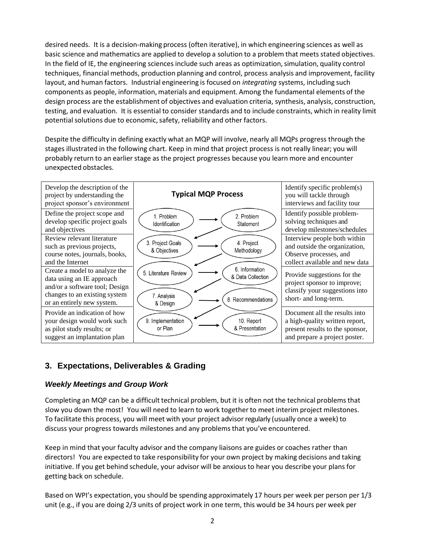desired needs. It is a decision-making process (often iterative), in which engineering sciences as well as basic science and mathematics are applied to develop a solution to a problem that meets stated objectives. In the field of IE, the engineering sciences include such areas as optimization, simulation, quality control techniques, financial methods, production planning and control, process analysis and improvement, facility layout, and human factors. Industrial engineering is focused on *integrating* systems, including such components as people, information, materials and equipment. Among the fundamental elements of the design process are the establishment of objectives and evaluation criteria, synthesis, analysis, construction, testing, and evaluation. It is essential to consider standards and to include constraints, which in reality limit potential solutions due to economic, safety, reliability and other factors.

Despite the difficulty in defining exactly what an MQP will involve, nearly all MQPs progress through the stages illustrated in the following chart. Keep in mind that project process is not really linear; you will probably return to an earlier stage as the project progresses because you learn more and encounter unexpected obstacles.



## **3. Expectations, Deliverables & Grading**

#### *Weekly Meetings and Group Work*

Completing an MQP can be a difficult technical problem, but it is often not the technical problemsthat slow you down the most! You will need to learn to work together to meet interim project milestones. To facilitate this process, you will meet with your project advisor regularly (usually once a week) to discuss your progress towards milestones and any problemsthat you've encountered.

Keep in mind that your faculty advisor and the company liaisons are guides or coaches rather than directors! You are expected to take responsibility for your own project by making decisions and taking initiative. If you get behind schedule, your advisor will be anxiousto hear you describe your plans for getting back on schedule.

Based on WPI's expectation, you should be spending approximately 17 hours per week per person per 1/3 unit (e.g., if you are doing 2/3 units of project work in one term, this would be 34 hours per week per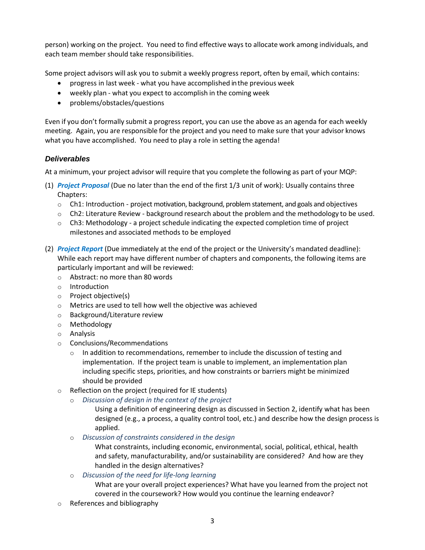person) working on the project. You need to find effective ways to allocate work among individuals, and each team member should take responsibilities.

Some project advisors will ask you to submit a weekly progress report, often by email, which contains:

- progress in last week what you have accomplished in the previous week
- weekly plan what you expect to accomplish in the coming week
- problems/obstacles/questions

Even if you don't formally submit a progress report, you can use the above as an agenda for each weekly meeting. Again, you are responsible for the project and you need to make sure that your advisor knows what you have accomplished. You need to play a role in setting the agenda!

### *Deliverables*

At a minimum, your project advisor will require that you complete the following as part of your MQP:

- (1) *Project Proposal* (Due no later than the end of the first 1/3 unit of work): Usually contains three Chapters:
	- $\circ$  Ch1: Introduction project motivation, background, problem statement, and goals and objectives
	- o Ch2: Literature Review background research about the problem and the methodology to be used.
	- $\circ$  Ch3: Methodology a project schedule indicating the expected completion time of project milestones and associated methods to be employed
- (2) *Project Report* (Due immediately at the end of the project or the University's mandated deadline): While each report may have different number of chapters and components, the following items are particularly important and will be reviewed:
	- o Abstract: no more than 80 words
	- o Introduction
	- o Project objective(s)
	- o Metrics are used to tell how well the objective was achieved
	- o Background/Literature review
	- o Methodology
	- o Analysis
	- o Conclusions/Recommendations
		- $\circ$  In addition to recommendations, remember to include the discussion of testing and implementation. If the project team is unable to implement, an implementation plan including specific steps, priorities, and how constraints or barriers might be minimized should be provided
	- o Reflection on the project (required for IE students)
		- o *Discussion of design in the context of the project*
			- Using a definition of engineering design as discussed in Section 2, identify what has been designed (e.g., a process, a quality control tool, etc.) and describe how the design process is applied.
		- o *Discussion of constraints considered in the design*

What constraints, including economic, environmental, social, political, ethical, health and safety, manufacturability, and/or sustainability are considered? And how are they handled in the design alternatives?

o *Discussion of the need for life-long learning*

What are your overall project experiences? What have you learned from the project not covered in the coursework? How would you continue the learning endeavor?

o References and bibliography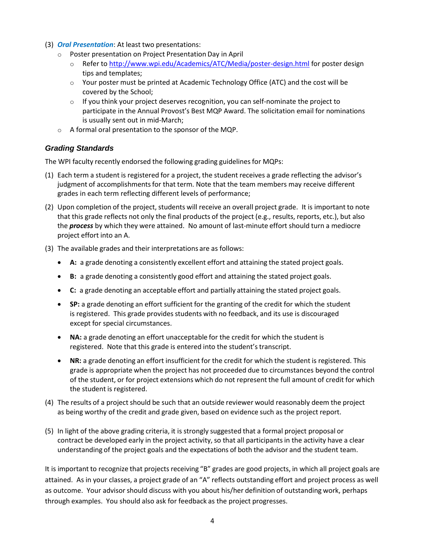- (3) *Oral Presentation*: At least two presentations:
	- o Poster presentation on Project Presentation Day in April
		- o Refer to<http://www.wpi.edu/Academics/ATC/Media/poster-design.html> for poster design tips and templates;
		- $\circ$  Your poster must be printed at Academic Technology Office (ATC) and the cost will be covered by the School;
		- $\circ$  If you think your project deserves recognition, you can self-nominate the project to participate in the Annual Provost's Best MQP Award. The solicitation email for nominations is usually sent out in mid-March;
	- o A formal oral presentation to the sponsor of the MQP.

## *Grading Standards*

The WPI faculty recently endorsed the following grading guidelines for MQPs:

- (1) Each term a student is registered for a project, the student receives a grade reflecting the advisor's judgment of accomplishmentsfor that term. Note that the team members may receive different grades in each term reflecting different levels of performance;
- (2) Upon completion of the project, students will receive an overall project grade. It is important to note that this grade reflects not only the final products of the project (e.g., results, reports, etc.), but also the *process* by which they were attained. No amount of last-minute effort should turn a mediocre project effort into an A.
- (3) The available grades and their interpretations are as follows:
	- **A:** a grade denoting a consistently excellent effort and attaining the stated project goals.
	- **B:** a grade denoting a consistently good effort and attaining the stated project goals.
	- **C:** a grade denoting an acceptable effort and partially attaining the stated project goals.
	- **SP:** a grade denoting an effort sufficient for the granting of the credit for which the student is registered. This grade provides students with no feedback, and its use is discouraged except for special circumstances.
	- **NA:** a grade denoting an effort unacceptable for the credit for which the student is registered. Note that this grade is entered into the student's transcript.
	- **NR:** a grade denoting an effort insufficient for the credit for which the student is registered. This grade is appropriate when the project has not proceeded due to circumstances beyond the control of the student, or for project extensions which do not represent the full amount of credit for which the student is registered.
- (4) The results of a project should be such that an outside reviewer would reasonably deem the project as being worthy of the credit and grade given, based on evidence such as the project report.
- (5) In light of the above grading criteria, it is strongly suggested that a formal project proposal or contract be developed early in the project activity, so that all participantsin the activity have a clear understanding of the project goals and the expectations of both the advisor and the student team.

It is important to recognize that projects receiving "B" grades are good projects, in which all project goals are attained. As in your classes, a project grade of an "A" reflects outstanding effort and project process as well as outcome. Your advisor should discuss with you about his/her definition of outstanding work, perhaps through examples. You should also ask for feedback as the project progresses.